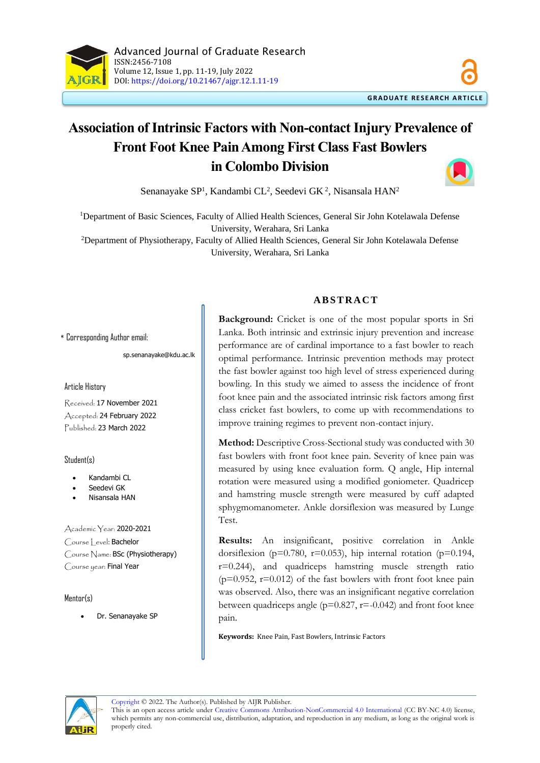

# **Association of Intrinsic Factors with Non-contact Injury Prevalence of Front Foot Knee Pain Among First Class Fast Bowlers in Colombo Division**

Senanayake SP<sup>1</sup>, Kandambi CL<sup>2</sup>, Seedevi GK<sup>2</sup>, Nisansala HAN<sup>2</sup>

<sup>1</sup>Department of Basic Sciences, Faculty of Allied Health Sciences, General Sir John Kotelawala Defense University, Werahara, Sri Lanka <sup>2</sup>Department of Physiotherapy, Faculty of Allied Health Sciences, General Sir John Kotelawala Defense

University, Werahara, Sri Lanka

\* Corresponding Author email:

sp.senanayake@kdu.ac.lk

Article History

Received: 17 November 2021 Accepted: 24 February 2022 Published: 23 March 2022

Student(s)

- Kandambi CL
- Seedevi GK
- Nisansala HAN

Academic Year: 2020-2021 Course Level: Bachelor Course Name: BSc (Physiotherapy) Course year: Final Year

 $M$ entor $(s)$ 

• Dr. Senanayake SP

## **A B S T R A C T**

**Background:** Cricket is one of the most popular sports in Sri Lanka. Both intrinsic and extrinsic injury prevention and increase performance are of cardinal importance to a fast bowler to reach optimal performance. Intrinsic prevention methods may protect the fast bowler against too high level of stress experienced during bowling. In this study we aimed to assess the incidence of front foot knee pain and the associated intrinsic risk factors among first class cricket fast bowlers, to come up with recommendations to improve training regimes to prevent non-contact injury.

**Method:** Descriptive Cross-Sectional study was conducted with 30 fast bowlers with front foot knee pain. Severity of knee pain was measured by using knee evaluation form. Q angle, Hip internal rotation were measured using a modified goniometer. Quadricep and hamstring muscle strength were measured by cuff adapted sphygmomanometer. Ankle dorsiflexion was measured by Lunge Test.

**Results:** An insignificant, positive correlation in Ankle dorsiflexion (p=0.780, r=0.053), hip internal rotation (p=0.194, r=0.244), and quadriceps hamstring muscle strength ratio  $(p=0.952, r=0.012)$  of the fast bowlers with front foot knee pain was observed. Also, there was an insignificant negative correlation between quadriceps angle ( $p=0.827$ ,  $r=-0.042$ ) and front foot knee pain.

**Keywords:** Knee Pain, Fast Bowlers, Intrinsic Factors



This is an open access article under [Creative Commons Attribution-NonCommercial 4.0 International](https://creativecommons.org/licenses/by-nc/4.0/) (CC BY-NC 4.0) license, which permits any non-commercial use, distribution, adaptation, and reproduction in any medium, as long as the original work is properly cited.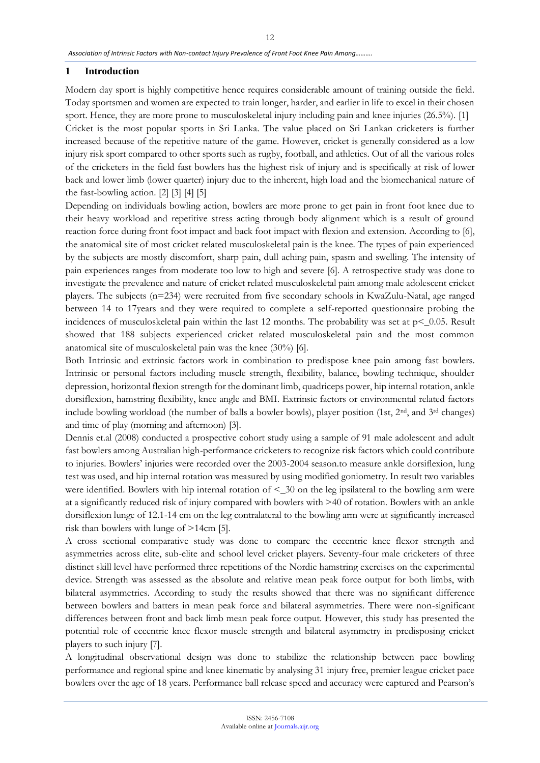#### **1 Introduction**

Modern day sport is highly competitive hence requires considerable amount of training outside the field. Today sportsmen and women are expected to train longer, harder, and earlier in life to excel in their chosen sport. Hence, they are more prone to musculoskeletal injury including pain and knee injuries (26.5%). [1] Cricket is the most popular sports in Sri Lanka. The value placed on Sri Lankan cricketers is further increased because of the repetitive nature of the game. However, cricket is generally considered as a low injury risk sport compared to other sports such as rugby, football, and athletics. Out of all the various roles of the cricketers in the field fast bowlers has the highest risk of injury and is specifically at risk of lower back and lower limb (lower quarter) injury due to the inherent, high load and the biomechanical nature of the fast-bowling action. [2] [3] [4] [5]

Depending on individuals bowling action, bowlers are more prone to get pain in front foot knee due to their heavy workload and repetitive stress acting through body alignment which is a result of ground reaction force during front foot impact and back foot impact with flexion and extension. According to [6], the anatomical site of most cricket related musculoskeletal pain is the knee. The types of pain experienced by the subjects are mostly discomfort, sharp pain, dull aching pain, spasm and swelling. The intensity of pain experiences ranges from moderate too low to high and severe [6]. A retrospective study was done to investigate the prevalence and nature of cricket related musculoskeletal pain among male adolescent cricket players. The subjects (n=234) were recruited from five secondary schools in KwaZulu-Natal, age ranged between 14 to 17years and they were required to complete a self-reported questionnaire probing the incidences of musculoskeletal pain within the last 12 months. The probability was set at  $p < 0.05$ . Result showed that 188 subjects experienced cricket related musculoskeletal pain and the most common anatomical site of musculoskeletal pain was the knee (30%) [6].

Both Intrinsic and extrinsic factors work in combination to predispose knee pain among fast bowlers. Intrinsic or personal factors including muscle strength, flexibility, balance, bowling technique, shoulder depression, horizontal flexion strength for the dominant limb, quadriceps power, hip internal rotation, ankle dorsiflexion, hamstring flexibility, knee angle and BMI. Extrinsic factors or environmental related factors include bowling workload (the number of balls a bowler bowls), player position (1st,  $2<sup>nd</sup>$ , and  $3<sup>rd</sup>$  changes) and time of play (morning and afternoon) [3].

Dennis et.al (2008) conducted a prospective cohort study using a sample of 91 male adolescent and adult fast bowlers among Australian high-performance cricketers to recognize risk factors which could contribute to injuries. Bowlers' injuries were recorded over the 2003-2004 season.to measure ankle dorsiflexion, lung test was used, and hip internal rotation was measured by using modified goniometry. In result two variables were identified. Bowlers with hip internal rotation of <\_30 on the leg ipsilateral to the bowling arm were at a significantly reduced risk of injury compared with bowlers with >40 of rotation. Bowlers with an ankle dorsiflexion lunge of 12.1-14 cm on the leg contralateral to the bowling arm were at significantly increased risk than bowlers with lunge of >14cm [5].

A cross sectional comparative study was done to compare the eccentric knee flexor strength and asymmetries across elite, sub-elite and school level cricket players. Seventy-four male cricketers of three distinct skill level have performed three repetitions of the Nordic hamstring exercises on the experimental device. Strength was assessed as the absolute and relative mean peak force output for both limbs, with bilateral asymmetries. According to study the results showed that there was no significant difference between bowlers and batters in mean peak force and bilateral asymmetries. There were non-significant differences between front and back limb mean peak force output. However, this study has presented the potential role of eccentric knee flexor muscle strength and bilateral asymmetry in predisposing cricket players to such injury [7].

A longitudinal observational design was done to stabilize the relationship between pace bowling performance and regional spine and knee kinematic by analysing 31 injury free, premier league cricket pace bowlers over the age of 18 years. Performance ball release speed and accuracy were captured and Pearson's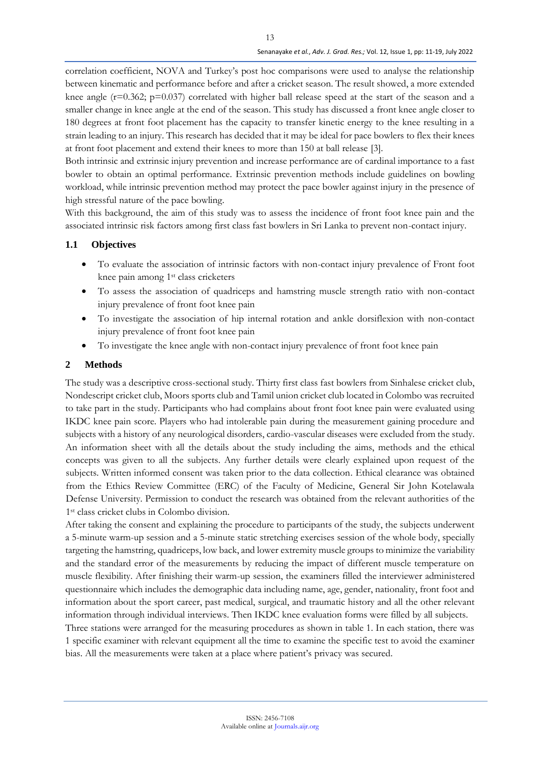correlation coefficient, NOVA and Turkey's post hoc comparisons were used to analyse the relationship between kinematic and performance before and after a cricket season. The result showed, a more extended knee angle ( $r=0.362$ ;  $p=0.037$ ) correlated with higher ball release speed at the start of the season and a smaller change in knee angle at the end of the season. This study has discussed a front knee angle closer to 180 degrees at front foot placement has the capacity to transfer kinetic energy to the knee resulting in a strain leading to an injury. This research has decided that it may be ideal for pace bowlers to flex their knees at front foot placement and extend their knees to more than 150 at ball release [3].

Both intrinsic and extrinsic injury prevention and increase performance are of cardinal importance to a fast bowler to obtain an optimal performance. Extrinsic prevention methods include guidelines on bowling workload, while intrinsic prevention method may protect the pace bowler against injury in the presence of high stressful nature of the pace bowling.

With this background, the aim of this study was to assess the incidence of front foot knee pain and the associated intrinsic risk factors among first class fast bowlers in Sri Lanka to prevent non-contact injury.

# **1.1 Objectives**

- To evaluate the association of intrinsic factors with non-contact injury prevalence of Front foot knee pain among 1<sup>st</sup> class cricketers
- To assess the association of quadriceps and hamstring muscle strength ratio with non-contact injury prevalence of front foot knee pain
- To investigate the association of hip internal rotation and ankle dorsiflexion with non-contact injury prevalence of front foot knee pain
- To investigate the knee angle with non-contact injury prevalence of front foot knee pain

## **2 Methods**

The study was a descriptive cross-sectional study. Thirty first class fast bowlers from Sinhalese cricket club, Nondescript cricket club, Moors sports club and Tamil union cricket club located in Colombo was recruited to take part in the study. Participants who had complains about front foot knee pain were evaluated using IKDC knee pain score. Players who had intolerable pain during the measurement gaining procedure and subjects with a history of any neurological disorders, cardio-vascular diseases were excluded from the study. An information sheet with all the details about the study including the aims, methods and the ethical concepts was given to all the subjects. Any further details were clearly explained upon request of the subjects. Written informed consent was taken prior to the data collection. Ethical clearance was obtained from the Ethics Review Committee (ERC) of the Faculty of Medicine, General Sir John Kotelawala Defense University. Permission to conduct the research was obtained from the relevant authorities of the 1 st class cricket clubs in Colombo division.

After taking the consent and explaining the procedure to participants of the study, the subjects underwent a 5-minute warm-up session and a 5-minute static stretching exercises session of the whole body, specially targeting the hamstring, quadriceps, low back, and lower extremity muscle groups to minimize the variability and the standard error of the measurements by reducing the impact of different muscle temperature on muscle flexibility. After finishing their warm-up session, the examiners filled the interviewer administered questionnaire which includes the demographic data including name, age, gender, nationality, front foot and information about the sport career, past medical, surgical, and traumatic history and all the other relevant information through individual interviews. Then IKDC knee evaluation forms were filled by all subjects.

Three stations were arranged for the measuring procedures as shown in table 1. In each station, there was 1 specific examiner with relevant equipment all the time to examine the specific test to avoid the examiner bias. All the measurements were taken at a place where patient's privacy was secured.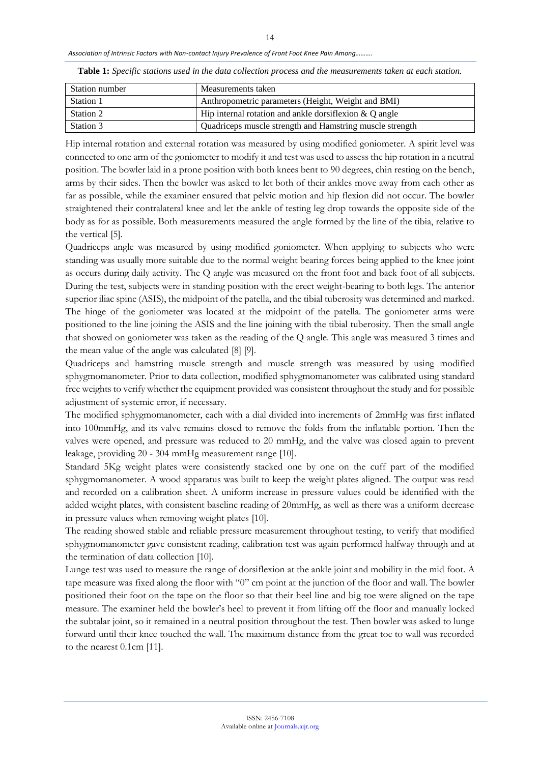*Association of Intrinsic Factors with Non-contact Injury Prevalence of Front Foot Knee Pain Among……….*

| Station number | Measurements taken                                        |
|----------------|-----------------------------------------------------------|
| Station 1      | Anthropometric parameters (Height, Weight and BMI)        |
| Station 2      | Hip internal rotation and ankle dorsifiexion $\& Q$ angle |
| Station 3      | Quadriceps muscle strength and Hamstring muscle strength  |

**Table 1:** *Specific stations used in the data collection process and the measurements taken at each station.*

Hip internal rotation and external rotation was measured by using modified goniometer. A spirit level was connected to one arm of the goniometer to modify it and test was used to assess the hip rotation in a neutral position. The bowler laid in a prone position with both knees bent to 90 degrees, chin resting on the bench, arms by their sides. Then the bowler was asked to let both of their ankles move away from each other as far as possible, while the examiner ensured that pelvic motion and hip flexion did not occur. The bowler straightened their contralateral knee and let the ankle of testing leg drop towards the opposite side of the body as for as possible. Both measurements measured the angle formed by the line of the tibia, relative to the vertical [5].

Quadriceps angle was measured by using modified goniometer. When applying to subjects who were standing was usually more suitable due to the normal weight bearing forces being applied to the knee joint as occurs during daily activity. The Q angle was measured on the front foot and back foot of all subjects. During the test, subjects were in standing position with the erect weight-bearing to both legs. The anterior superior iliac spine (ASIS), the midpoint of the patella, and the tibial tuberosity was determined and marked. The hinge of the goniometer was located at the midpoint of the patella. The goniometer arms were positioned to the line joining the ASIS and the line joining with the tibial tuberosity. Then the small angle that showed on goniometer was taken as the reading of the Q angle. This angle was measured 3 times and the mean value of the angle was calculated [8] [9].

Quadriceps and hamstring muscle strength and muscle strength was measured by using modified sphygmomanometer. Prior to data collection, modified sphygmomanometer was calibrated using standard free weights to verify whether the equipment provided was consistent throughout the study and for possible adjustment of systemic error, if necessary.

The modified sphygmomanometer, each with a dial divided into increments of 2mmHg was first inflated into 100mmHg, and its valve remains closed to remove the folds from the inflatable portion. Then the valves were opened, and pressure was reduced to 20 mmHg, and the valve was closed again to prevent leakage, providing 20 - 304 mmHg measurement range [10].

Standard 5Kg weight plates were consistently stacked one by one on the cuff part of the modified sphygmomanometer. A wood apparatus was built to keep the weight plates aligned. The output was read and recorded on a calibration sheet. A uniform increase in pressure values could be identified with the added weight plates, with consistent baseline reading of 20mmHg, as well as there was a uniform decrease in pressure values when removing weight plates [10].

The reading showed stable and reliable pressure measurement throughout testing, to verify that modified sphygmomanometer gave consistent reading, calibration test was again performed halfway through and at the termination of data collection [10].

Lunge test was used to measure the range of dorsiflexion at the ankle joint and mobility in the mid foot. A tape measure was fixed along the floor with "0" cm point at the junction of the floor and wall. The bowler positioned their foot on the tape on the floor so that their heel line and big toe were aligned on the tape measure. The examiner held the bowler's heel to prevent it from lifting off the floor and manually locked the subtalar joint, so it remained in a neutral position throughout the test. Then bowler was asked to lunge forward until their knee touched the wall. The maximum distance from the great toe to wall was recorded to the nearest 0.1cm [11].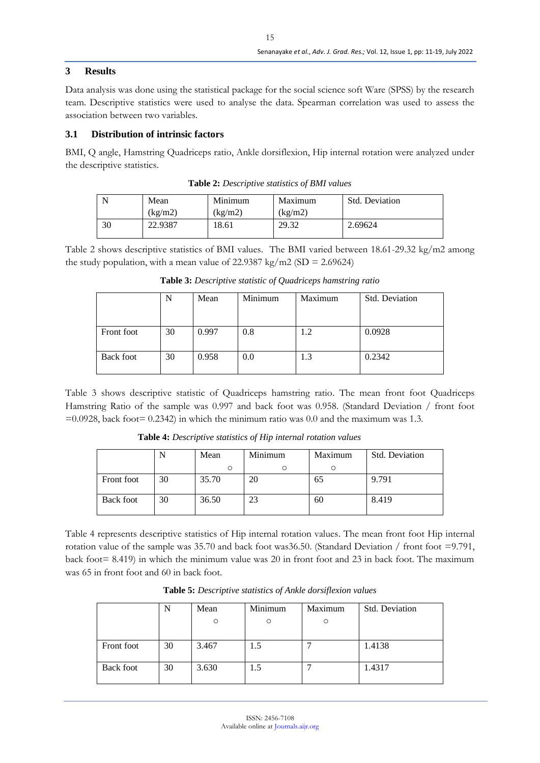### **3 Results**

Data analysis was done using the statistical package for the social science soft Ware (SPSS) by the research team. Descriptive statistics were used to analyse the data. Spearman correlation was used to assess the association between two variables.

### **3.1 Distribution of intrinsic factors**

BMI, Q angle, Hamstring Quadriceps ratio, Ankle dorsiflexion, Hip internal rotation were analyzed under the descriptive statistics.

| N  | Mean    | Minimum | Maximum                | Std. Deviation |
|----|---------|---------|------------------------|----------------|
|    | (kg/m2) | (kg/m2) | $\frac{\text{kg}}{m2}$ |                |
| 30 | 22.9387 | 18.61   | 29.32                  | 2.69624        |

**Table 2:** *Descriptive statistics of BMI values*

Table 2 shows descriptive statistics of BMI values. The BMI varied between 18.61-29.32 kg/m2 among the study population, with a mean value of 22.9387 kg/m2 (SD = 2.69624)

|                  | N  | Mean  | Minimum | Maximum | Std. Deviation |
|------------------|----|-------|---------|---------|----------------|
| Front foot       | 30 | 0.997 | 0.8     | 1.2     | 0.0928         |
| <b>Back foot</b> | 30 | 0.958 | 0.0     | 1.3     | 0.2342         |

**Table 3:** *Descriptive statistic of Quadriceps hamstring ratio*

Table 3 shows descriptive statistic of Quadriceps hamstring ratio. The mean front foot Quadriceps Hamstring Ratio of the sample was 0.997 and back foot was 0.958. (Standard Deviation / front foot  $=0.0928$ , back foot= 0.2342) in which the minimum ratio was 0.0 and the maximum was 1.3.

**Table 4:** *Descriptive statistics of Hip internal rotation values* N Mean Minimum Maximum

|                  |    | Mean  | Minimum | Maximum | Std. Deviation |
|------------------|----|-------|---------|---------|----------------|
|                  |    |       |         |         |                |
| Front foot       | 30 | 35.70 | 20      | 65      | 9.791          |
| <b>Back foot</b> | 30 | 36.50 | 23      | 60      | 8.419          |

Table 4 represents descriptive statistics of Hip internal rotation values. The mean front foot Hip internal rotation value of the sample was 35.70 and back foot was36.50. (Standard Deviation / front foot =9.791, back foot= 8.419) in which the minimum value was 20 in front foot and 23 in back foot. The maximum was 65 in front foot and 60 in back foot.

|                  | N  | Mean<br>$\Omega$ | Minimum | Maximum | Std. Deviation |
|------------------|----|------------------|---------|---------|----------------|
| Front foot       | 30 | 3.467            | 1.5     |         | 1.4138         |
| <b>Back foot</b> | 30 | 3.630            | 1.5     |         | 1.4317         |

**Table 5:** *Descriptive statistics of Ankle dorsiflexion values*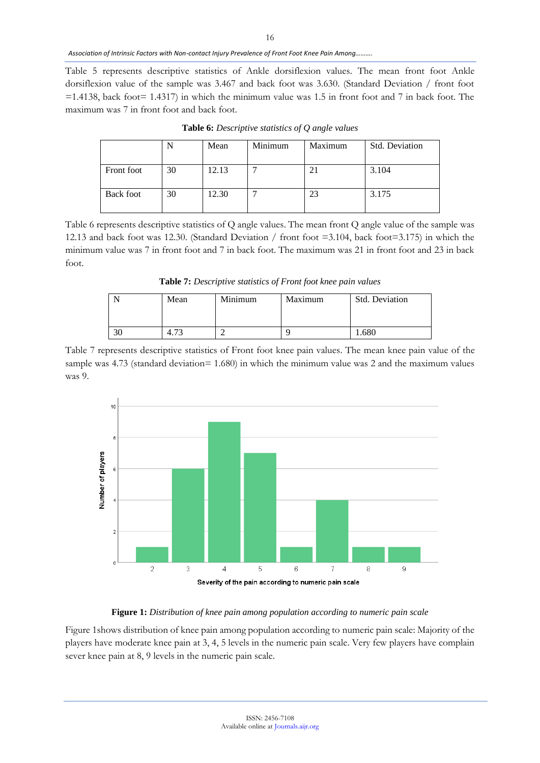*Association of Intrinsic Factors with Non-contact Injury Prevalence of Front Foot Knee Pain Among……….*

Table 5 represents descriptive statistics of Ankle dorsiflexion values. The mean front foot Ankle dorsiflexion value of the sample was 3.467 and back foot was 3.630. (Standard Deviation / front foot  $=1.4138$ , back foot $= 1.4317$ ) in which the minimum value was 1.5 in front foot and 7 in back foot. The maximum was 7 in front foot and back foot.

|                  |    | Mean  | Minimum | Maximum | <b>Std. Deviation</b> |
|------------------|----|-------|---------|---------|-----------------------|
| Front foot       | 30 | 12.13 |         |         | 3.104                 |
| <b>Back foot</b> | 30 | 12.30 |         | 23      | 3.175                 |

**Table 6:** *Descriptive statistics of Q angle values*

Table 6 represents descriptive statistics of Q angle values. The mean front Q angle value of the sample was 12.13 and back foot was 12.30. (Standard Deviation / front foot =3.104, back foot=3.175) in which the minimum value was 7 in front foot and 7 in back foot. The maximum was 21 in front foot and 23 in back foot.

**Table 7:** *Descriptive statistics of Front foot knee pain values*

| Mean | Minimum | Maximum | <b>Std. Deviation</b> |
|------|---------|---------|-----------------------|
|      |         |         | .680                  |

Table 7 represents descriptive statistics of Front foot knee pain values. The mean knee pain value of the sample was 4.73 (standard deviation= 1.680) in which the minimum value was 2 and the maximum values was 9.



#### **Figure 1:** *Distribution of knee pain among population according to numeric pain scale*

Figure 1shows distribution of knee pain among population according to numeric pain scale: Majority of the players have moderate knee pain at 3, 4, 5 levels in the numeric pain scale. Very few players have complain sever knee pain at 8, 9 levels in the numeric pain scale.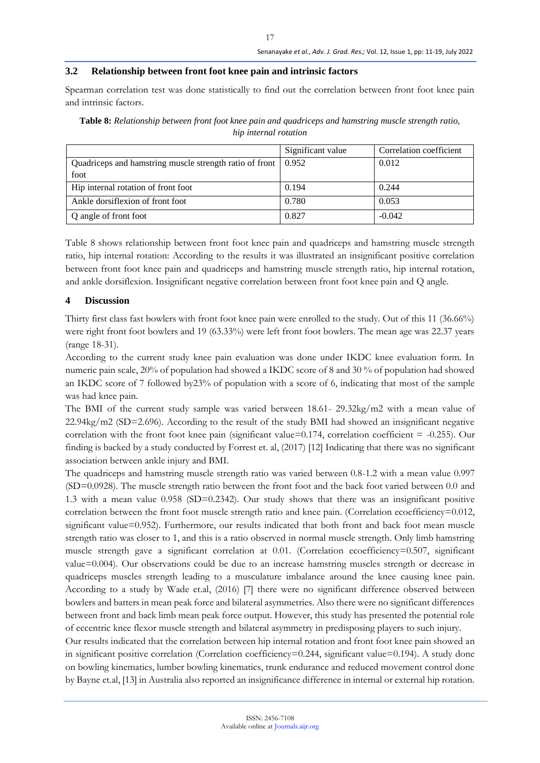### **3.2 Relationship between front foot knee pain and intrinsic factors**

Spearman correlation test was done statistically to find out the correlation between front foot knee pain and intrinsic factors.

|                                                         | Significant value | Correlation coefficient |
|---------------------------------------------------------|-------------------|-------------------------|
| Quadriceps and hamstring muscle strength ratio of front | 0.952             | 0.012                   |
| foot                                                    |                   |                         |
| Hip internal rotation of front foot                     | 0.194             | 0.244                   |
| Ankle dorsiflexion of front foot                        | 0.780             | 0.053                   |
| Q angle of front foot                                   | 0.827             | $-0.042$                |

**Table 8:** *Relationship between front foot knee pain and quadriceps and hamstring muscle strength ratio, hip internal rotation*

Table 8 shows relationship between front foot knee pain and quadriceps and hamstring muscle strength ratio, hip internal rotation: According to the results it was illustrated an insignificant positive correlation between front foot knee pain and quadriceps and hamstring muscle strength ratio, hip internal rotation, and ankle dorsiflexion. Insignificant negative correlation between front foot knee pain and Q angle.

### **4 Discussion**

Thirty first class fast bowlers with front foot knee pain were enrolled to the study. Out of this 11 (36.66%) were right front foot bowlers and 19 (63.33%) were left front foot bowlers. The mean age was 22.37 years (range 18-31).

According to the current study knee pain evaluation was done under IKDC knee evaluation form. In numeric pain scale, 20% of population had showed a IKDC score of 8 and 30 % of population had showed an IKDC score of 7 followed by23% of population with a score of 6, indicating that most of the sample was had knee pain.

The BMI of the current study sample was varied between 18.61- 29.32kg/m2 with a mean value of 22.94kg/m2 (SD=2.696). According to the result of the study BMI had showed an insignificant negative correlation with the front foot knee pain (significant value= $0.174$ , correlation coefficient =  $-0.255$ ). Our finding is backed by a study conducted by Forrest et. al, (2017) [12] Indicating that there was no significant association between ankle injury and BMI.

The quadriceps and hamstring muscle strength ratio was varied between 0.8-1.2 with a mean value 0.997 (SD=0.0928). The muscle strength ratio between the front foot and the back foot varied between 0.0 and 1.3 with a mean value 0.958 (SD=0.2342). Our study shows that there was an insignificant positive correlation between the front foot muscle strength ratio and knee pain. (Correlation ecoefficiency=0.012, significant value=0.952). Furthermore, our results indicated that both front and back foot mean muscle strength ratio was closer to 1, and this is a ratio observed in normal muscle strength. Only limb hamstring muscle strength gave a significant correlation at 0.01. (Correlation ecoefficiency=0.507, significant value=0.004). Our observations could be due to an increase hamstring muscles strength or decrease in quadriceps muscles strength leading to a musculature imbalance around the knee causing knee pain. According to a study by Wade et.al, (2016) [7] there were no significant difference observed between bowlers and batters in mean peak force and bilateral asymmetries. Also there were no significant differences between front and back limb mean peak force output. However, this study has presented the potential role of eccentric knee flexor muscle strength and bilateral asymmetry in predisposing players to such injury.

Our results indicated that the correlation between hip internal rotation and front foot knee pain showed an in significant positive correlation (Correlation coefficiency=0.244, significant value=0.194). A study done on bowling kinematics, lumber bowling kinematics, trunk endurance and reduced movement control done by Bayne et.al, [13] in Australia also reported an insignificance difference in internal or external hip rotation.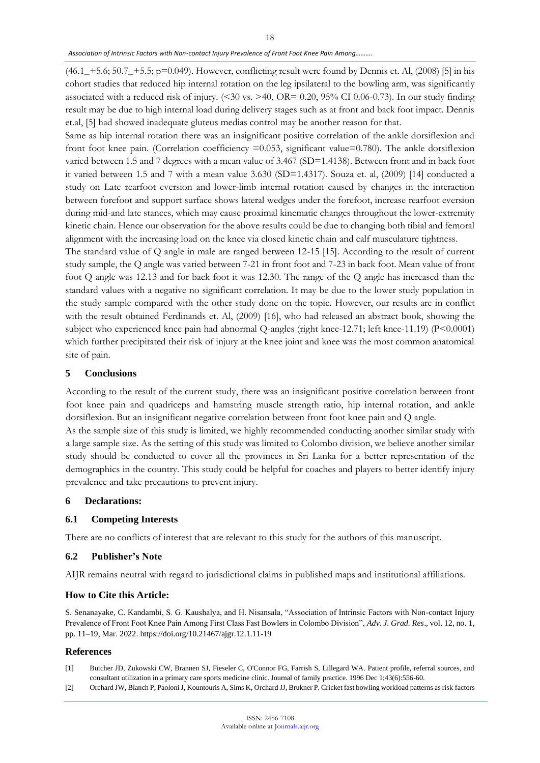#### *Association of Intrinsic Factors with Non-contact Injury Prevalence of Front Foot Knee Pain Among……….*

 $(46.1 - 5.6; 50.7 - 5.5; p=0.049)$ . However, conflicting result were found by Dennis et. Al, (2008) [5] in his cohort studies that reduced hip internal rotation on the leg ipsilateral to the bowling arm, was significantly associated with a reduced risk of injury. (<30 vs. >40, OR= 0.20, 95% CI 0.06-0.73). In our study finding result may be due to high internal load during delivery stages such as at front and back foot impact. Dennis et.al, [5] had showed inadequate gluteus medias control may be another reason for that.

Same as hip internal rotation there was an insignificant positive correlation of the ankle dorsiflexion and front foot knee pain. (Correlation coefficiency  $=0.053$ , significant value=0.780). The ankle dorsiflexion varied between 1.5 and 7 degrees with a mean value of 3.467 (SD=1.4138). Between front and in back foot it varied between 1.5 and 7 with a mean value 3.630 (SD=1.4317). Souza et. al, (2009) [14] conducted a study on Late rearfoot eversion and lower-limb internal rotation caused by changes in the interaction between forefoot and support surface shows lateral wedges under the forefoot, increase rearfoot eversion during mid-and late stances, which may cause proximal kinematic changes throughout the lower-extremity kinetic chain. Hence our observation for the above results could be due to changing both tibial and femoral alignment with the increasing load on the knee via closed kinetic chain and calf musculature tightness.

The standard value of Q angle in male are ranged between 12-15 [15]. According to the result of current study sample, the Q angle was varied between 7-21 in front foot and 7-23 in back foot. Mean value of front foot Q angle was 12.13 and for back foot it was 12.30. The range of the Q angle has increased than the standard values with a negative no significant correlation. It may be due to the lower study population in the study sample compared with the other study done on the topic. However, our results are in conflict with the result obtained Ferdinands et. Al, (2009) [16], who had released an abstract book, showing the subject who experienced knee pain had abnormal Q-angles (right knee-12.71; left knee-11.19) (P<0.0001) which further precipitated their risk of injury at the knee joint and knee was the most common anatomical site of pain.

#### **5 Conclusions**

According to the result of the current study, there was an insignificant positive correlation between front foot knee pain and quadriceps and hamstring muscle strength ratio, hip internal rotation, and ankle dorsiflexion. But an insignificant negative correlation between front foot knee pain and Q angle.

As the sample size of this study is limited, we highly recommended conducting another similar study with a large sample size. As the setting of this study was limited to Colombo division, we believe another similar study should be conducted to cover all the provinces in Sri Lanka for a better representation of the demographics in the country. This study could be helpful for coaches and players to better identify injury prevalence and take precautions to prevent injury.

#### **6 Declarations:**

#### **6.1 Competing Interests**

There are no conflicts of interest that are relevant to this study for the authors of this manuscript.

#### **6.2 Publisher's Note**

AIJR remains neutral with regard to jurisdictional claims in published maps and institutional affiliations.

#### **How to Cite this Article:**

S. Senanayake, C. Kandambi, S. G. Kaushalya, and H. Nisansala, "Association of Intrinsic Factors with Non-contact Injury Prevalence of Front Foot Knee Pain Among First Class Fast Bowlers in Colombo Division", *Adv. J. Grad. Res*., vol. 12, no. 1, pp. 11–19, Mar. 2022. https://doi.org/10.21467/ajgr.12.1.11-19

#### **References**

- [1] Butcher JD, Zukowski CW, Brannen SJ, Fieseler C, O'Connor FG, Farrish S, Lillegard WA. Patient profile, referral sources, and consultant utilization in a primary care sports medicine clinic. Journal of family practice. 1996 Dec 1;43(6):556-60.
- [2] Orchard JW, Blanch P, Paoloni J, Kountouris A, Sims K, Orchard JJ, Brukner P. Cricket fast bowling workload patterns as risk factors